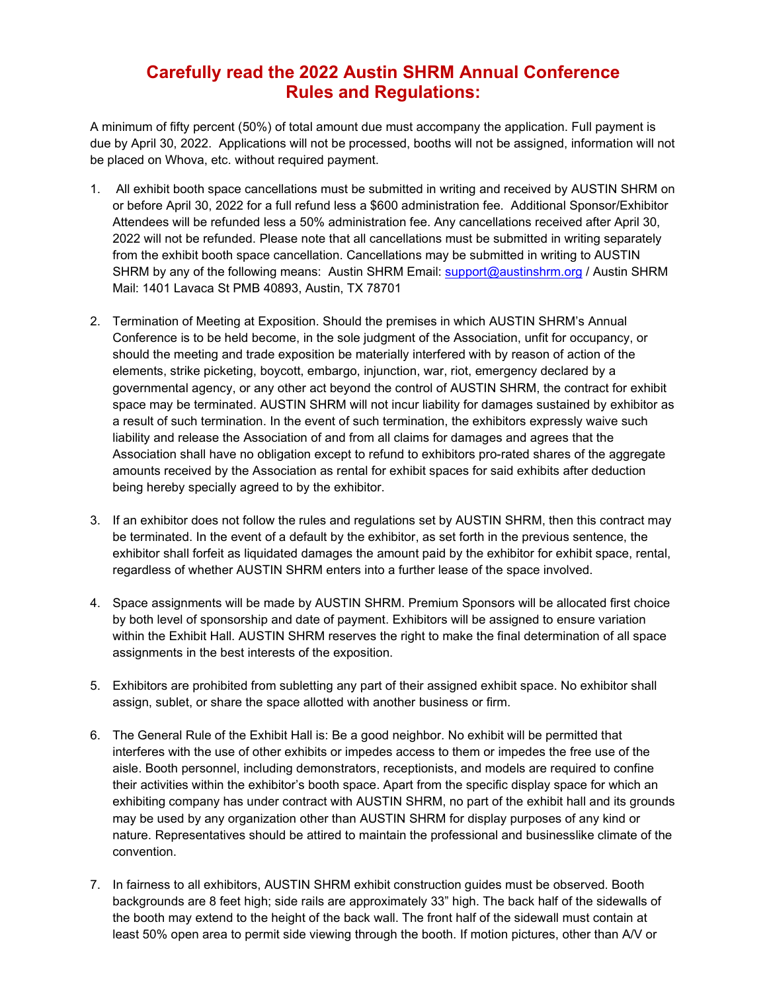## **Carefully read the 2022 Austin SHRM Annual Conference Rules and Regulations:**

A minimum of fifty percent (50%) of total amount due must accompany the application. Full payment is due by April 30, 2022. Applications will not be processed, booths will not be assigned, information will not be placed on Whova, etc. without required payment.

- 1. All exhibit booth space cancellations must be submitted in writing and received by AUSTIN SHRM on or before April 30, 2022 for a full refund less a \$600 administration fee. Additional Sponsor/Exhibitor Attendees will be refunded less a 50% administration fee. Any cancellations received after April 30, 2022 will not be refunded. Please note that all cancellations must be submitted in writing separately from the exhibit booth space cancellation. Cancellations may be submitted in writing to AUSTIN SHRM by any of the following means: Austin SHRM Email: [support@austinshrm.org](mailto:support@austinshrm.org) / Austin SHRM Mail: 1401 Lavaca St PMB 40893, Austin, TX 78701
- 2. Termination of Meeting at Exposition. Should the premises in which AUSTIN SHRM's Annual Conference is to be held become, in the sole judgment of the Association, unfit for occupancy, or should the meeting and trade exposition be materially interfered with by reason of action of the elements, strike picketing, boycott, embargo, injunction, war, riot, emergency declared by a governmental agency, or any other act beyond the control of AUSTIN SHRM, the contract for exhibit space may be terminated. AUSTIN SHRM will not incur liability for damages sustained by exhibitor as a result of such termination. In the event of such termination, the exhibitors expressly waive such liability and release the Association of and from all claims for damages and agrees that the Association shall have no obligation except to refund to exhibitors pro-rated shares of the aggregate amounts received by the Association as rental for exhibit spaces for said exhibits after deduction being hereby specially agreed to by the exhibitor.
- 3. If an exhibitor does not follow the rules and regulations set by AUSTIN SHRM, then this contract may be terminated. In the event of a default by the exhibitor, as set forth in the previous sentence, the exhibitor shall forfeit as liquidated damages the amount paid by the exhibitor for exhibit space, rental, regardless of whether AUSTIN SHRM enters into a further lease of the space involved.
- 4. Space assignments will be made by AUSTIN SHRM. Premium Sponsors will be allocated first choice by both level of sponsorship and date of payment. Exhibitors will be assigned to ensure variation within the Exhibit Hall. AUSTIN SHRM reserves the right to make the final determination of all space assignments in the best interests of the exposition.
- 5. Exhibitors are prohibited from subletting any part of their assigned exhibit space. No exhibitor shall assign, sublet, or share the space allotted with another business or firm.
- 6. The General Rule of the Exhibit Hall is: Be a good neighbor. No exhibit will be permitted that interferes with the use of other exhibits or impedes access to them or impedes the free use of the aisle. Booth personnel, including demonstrators, receptionists, and models are required to confine their activities within the exhibitor's booth space. Apart from the specific display space for which an exhibiting company has under contract with AUSTIN SHRM, no part of the exhibit hall and its grounds may be used by any organization other than AUSTIN SHRM for display purposes of any kind or nature. Representatives should be attired to maintain the professional and businesslike climate of the convention.
- 7. In fairness to all exhibitors, AUSTIN SHRM exhibit construction guides must be observed. Booth backgrounds are 8 feet high; side rails are approximately 33" high. The back half of the sidewalls of the booth may extend to the height of the back wall. The front half of the sidewall must contain at least 50% open area to permit side viewing through the booth. If motion pictures, other than A/V or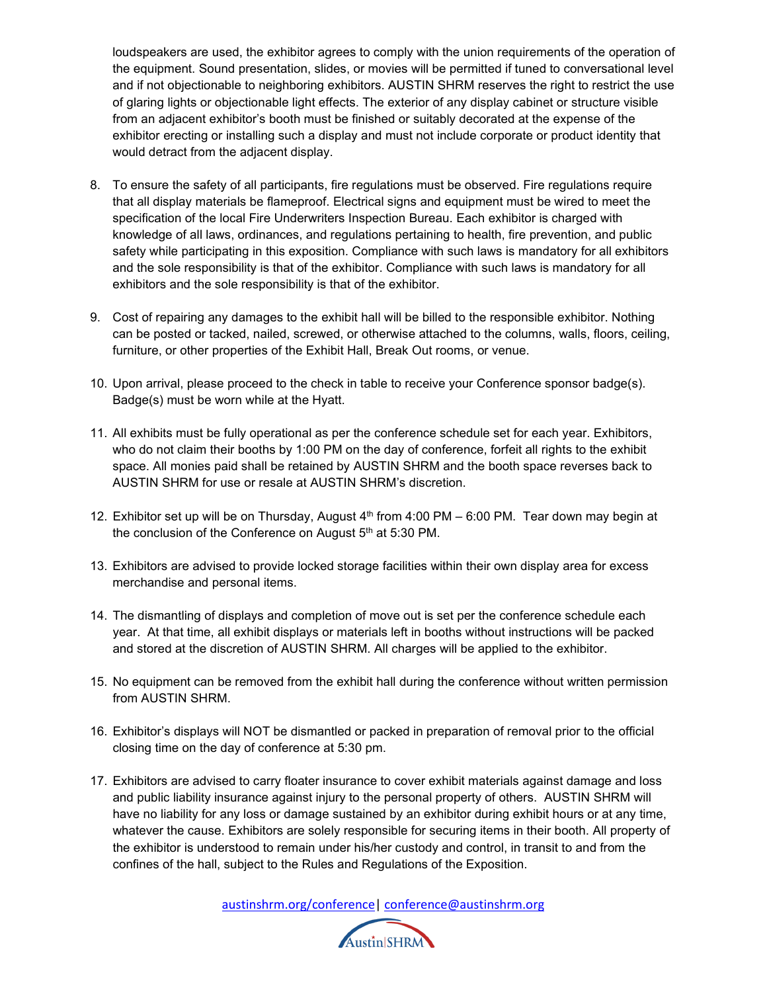loudspeakers are used, the exhibitor agrees to comply with the union requirements of the operation of the equipment. Sound presentation, slides, or movies will be permitted if tuned to conversational level and if not objectionable to neighboring exhibitors. AUSTIN SHRM reserves the right to restrict the use of glaring lights or objectionable light effects. The exterior of any display cabinet or structure visible from an adjacent exhibitor's booth must be finished or suitably decorated at the expense of the exhibitor erecting or installing such a display and must not include corporate or product identity that would detract from the adjacent display.

- 8. To ensure the safety of all participants, fire regulations must be observed. Fire regulations require that all display materials be flameproof. Electrical signs and equipment must be wired to meet the specification of the local Fire Underwriters Inspection Bureau. Each exhibitor is charged with knowledge of all laws, ordinances, and regulations pertaining to health, fire prevention, and public safety while participating in this exposition. Compliance with such laws is mandatory for all exhibitors and the sole responsibility is that of the exhibitor. Compliance with such laws is mandatory for all exhibitors and the sole responsibility is that of the exhibitor.
- 9. Cost of repairing any damages to the exhibit hall will be billed to the responsible exhibitor. Nothing can be posted or tacked, nailed, screwed, or otherwise attached to the columns, walls, floors, ceiling, furniture, or other properties of the Exhibit Hall, Break Out rooms, or venue.
- 10. Upon arrival, please proceed to the check in table to receive your Conference sponsor badge(s). Badge(s) must be worn while at the Hyatt.
- 11. All exhibits must be fully operational as per the conference schedule set for each year. Exhibitors, who do not claim their booths by 1:00 PM on the day of conference, forfeit all rights to the exhibit space. All monies paid shall be retained by AUSTIN SHRM and the booth space reverses back to AUSTIN SHRM for use or resale at AUSTIN SHRM's discretion.
- 12. Exhibitor set up will be on Thursday, August 4<sup>th</sup> from 4:00 PM 6:00 PM. Tear down may begin at the conclusion of the Conference on August 5<sup>th</sup> at 5:30 PM.
- 13. Exhibitors are advised to provide locked storage facilities within their own display area for excess merchandise and personal items.
- 14. The dismantling of displays and completion of move out is set per the conference schedule each year. At that time, all exhibit displays or materials left in booths without instructions will be packed and stored at the discretion of AUSTIN SHRM. All charges will be applied to the exhibitor.
- 15. No equipment can be removed from the exhibit hall during the conference without written permission from AUSTIN SHRM.
- 16. Exhibitor's displays will NOT be dismantled or packed in preparation of removal prior to the official closing time on the day of conference at 5:30 pm.
- 17. Exhibitors are advised to carry floater insurance to cover exhibit materials against damage and loss and public liability insurance against injury to the personal property of others. AUSTIN SHRM will have no liability for any loss or damage sustained by an exhibitor during exhibit hours or at any time, whatever the cause. Exhibitors are solely responsible for securing items in their booth. All property of the exhibitor is understood to remain under his/her custody and control, in transit to and from the confines of the hall, subject to the Rules and Regulations of the Exposition.

[austinshrm.org/conference|](mailto:austinshrm.org/conference) [conference@austinshrm.org](mailto:conference@austinshrm.org)